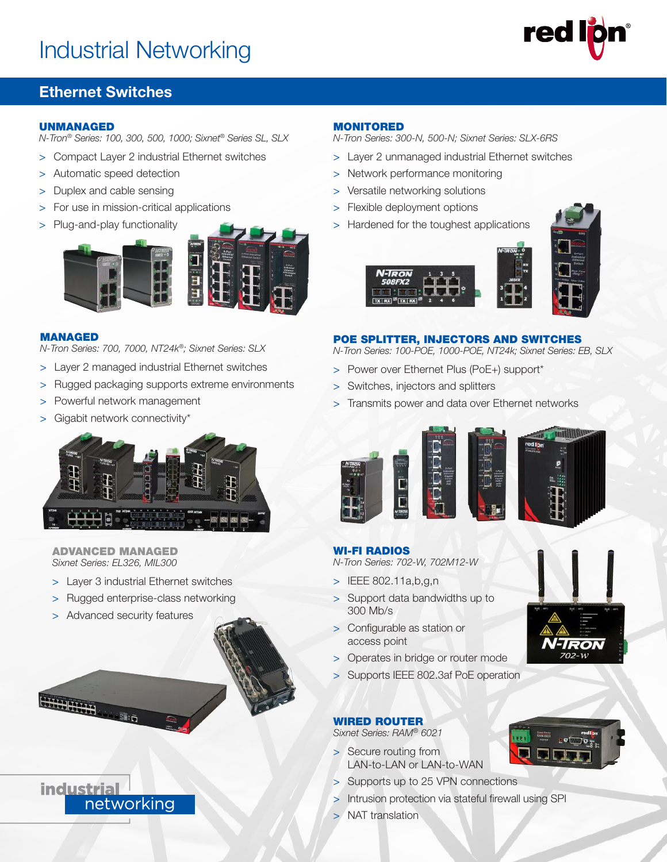# Industrial Networking



# Ethernet Switches

#### UNMANAGED

- *N-Tron® Series: 100, 300, 500, 1000; Sixnet® Series SL, SLX*
- > Compact Layer 2 industrial Ethernet switches
- > Automatic speed detection
- > Duplex and cable sensing
- > For use in mission-critical applications
- > Plug-and-play functionality



## MANAGED

*N-Tron Series: 700, 7000, NT24k®; Sixnet Series: SLX*

- > Layer 2 managed industrial Ethernet switches
- > Rugged packaging supports extreme environments
- > Powerful network management
- > Gigabit network connectivity\*



ADVANCED MANAGED *Sixnet Series: EL326, MIL300*

- > Layer 3 industrial Ethernet switches
- > Rugged enterprise-class networking
- > Advanced security features

networking

**industrial** 



#### MONITORED

*N-Tron Series: 300-N, 500-N; Sixnet Series: SLX-6RS*

- > Layer 2 unmanaged industrial Ethernet switches
- > Network performance monitoring
- > Versatile networking solutions
- > Flexible deployment options
- > Hardened for the toughest applications





#### POE SPLITTER, INJECTORS AND SWITCHES

*N-Tron Series: 100-POE, 1000-POE, NT24k; Sixnet Series: EB, SLX* 

- > Power over Ethernet Plus (PoE+) support\*
- > Switches, injectors and splitters
- > Transmits power and data over Ethernet networks



## WI-FI RADIOS

*N-Tron Series: 702-W, 702M12-W* 

- > IEEE 802.11a,b,g,n
- > Support data bandwidths up to 300 Mb/s
- > Configurable as station or access point
- > Operates in bridge or router mode
- > Supports IEEE 802.3af PoE operation

# WIRED ROUTER

*Sixnet Series: RAM*® *6021* 

- > Secure routing from LAN-to-LAN or LAN-to-WAN
- > Supports up to 25 VPN connections
- > Intrusion protection via stateful firewall using SPI
- > NAT translation